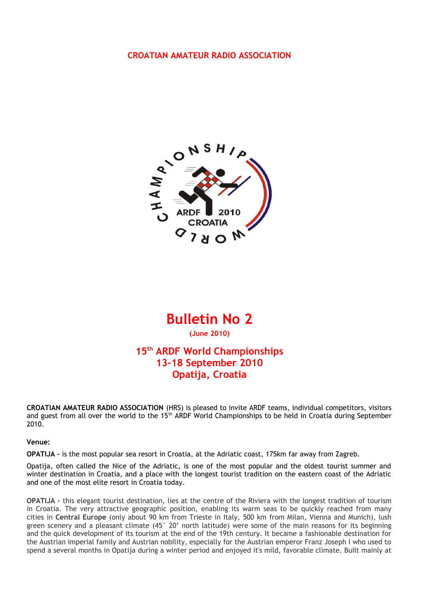#### **CROATIAN AMATEUR RADIO ASSOCIATION**



## **Bulletin No 2**

**(June 2010)**

## **15th ARDF World Championships 13-18 September 2010 Opatija, Croatia**

**CROATIAN AMATEUR RADIO ASSOCIATION** (HRS) is pleased to invite ARDF teams, individual competitors, visitors and guest from all over the world to the 15<sup>th</sup> ARDF World Championships to be held in Croatia during September 2010.

**Venue:**

**OPATIJA –** is the most popular sea resort in Croatia, at the Adriatic coast, 175km far away from Zagreb.

Opatija, often called the Nice of the Adriatic, is one of the most popular and the oldest tourist summer and winter destination in Croatia, and a place with the longest tourist tradition on the eastern coast of the Adriatic and one of the most elite resort in Croatia today.

**OPATIJA -** this elegant tourist destination, lies at the centre of the Riviera with the longest tradition of tourism in Croatia. The very attractive geographic position, enabling its warm seas to be quickly reached from many cities in **Central Europe** (only about 90 km from Trieste in Italy, 500 km from Milan, Vienna and Munich), lush green scenery and a pleasant climate (45° 20' north latitude) were some of the main reasons for its beginning and the quick development of its tourism at the end of the 19th century. It became a fashionable destination for the Austrian imperial family and Austrian nobility, especially for the Austrian emperor Franz Joseph I who used to spend a several months in Opatija during a winter period and enjoyed it's mild, favorable climate. Built mainly at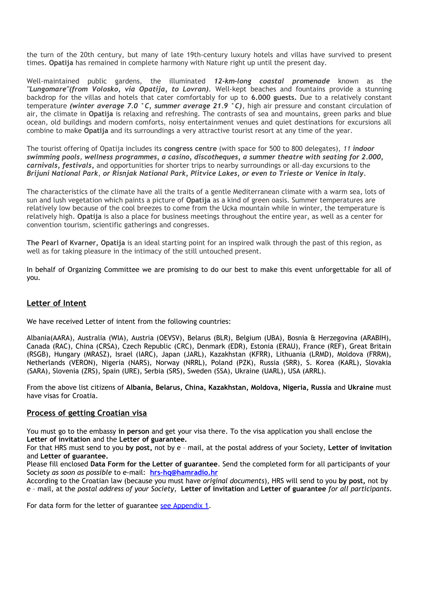the turn of the 20th century, but many of late 19th-century luxury hotels and villas have survived to present times. **Opatija** has remained in complete harmony with Nature right up until the present day.

Well-maintained public gardens, the illuminated *12-km-long coastal promenade* known as the *"Lungomare"(from Volosko, via Opatija, to Lovran).* Well-kept beaches and fountains provide a stunning backdrop for the villas and hotels that cater comfortably for up to **6.000 guests.** Due to a relatively constant temperature *(winter average 7.0 °C, summer average 21.9 °C)*, high air pressure and constant circulation of air, the climate in **Opatija** is relaxing and refreshing. The contrasts of sea and mountains, green parks and blue ocean, old buildings and modern comforts, noisy entertainment venues and quiet destinations for excursions all combine to make **Opatija** and its surroundings a very attractive tourist resort at any time of the year.

The tourist offering of Opatija includes its **congress centre** (with space for 500 to 800 delegates), *11 indoor swimming pools, wellness programmes, a casino, discotheques, a summer theatre with seating for 2.000, carnivals, festivals***,** and opportunities for shorter trips to nearby surroundings or all-day excursions to the *Brijuni National Park*, *or Risnjak National Park, Plitvice Lakes, or even to Trieste or Venice in Italy.*

The characteristics of the climate have all the traits of a gentle Mediterranean climate with a warm sea, lots of sun and lush vegetation which paints a picture of **Opatija** as a kind of green oasis. Summer temperatures are relatively low because of the cool breezes to come from the Ucka mountain while in winter, the temperature is relatively high. **Opatija** is also a place for business meetings throughout the entire year, as well as a center for convention tourism, scientific gatherings and congresses.

**The Pearl of Kvarner, Opatija** is an ideal starting point for an inspired walk through the past of this region, as well as for taking pleasure in the intimacy of the still untouched present.

In behalf of Organizing Committee we are promising to do our best to make this event unforgettable for all of you.

#### **Letter of Intent**

We have received Letter of intent from the following countries:

Albania(AARA), Australia (WIA), Austria (OEVSV), Belarus (BLR), Belgium (UBA), Bosnia & Herzegovina (ARABIH), Canada (RAC), China (CRSA), Czech Republic (CRC), Denmark (EDR), Estonia (ERAU), France (REF), Great Britain (RSGB), Hungary (MRASZ), Israel (IARC), Japan (JARL), Kazakhstan (KFRR), Lithuania (LRMD), Moldova (FRRM), Netherlands (VERON), Nigeria (NARS), Norway (NRRL), Poland (PZK), Russia (SRR), S. Korea (KARL), Slovakia (SARA), Slovenia (ZRS), Spain (URE), Serbia (SRS), Sweden (SSA), Ukraine (UARL), USA (ARRL).

From the above list citizens of **Albania, Belarus, China, Kazakhstan, Moldova, Nigeria, Russia** and **Ukraine** must have visas for Croatia.

#### **Process of getting Croatian visa**

You must go to the embassy **in person** and get your visa there. To the visa application you shall enclose the **Letter of invitation** and the **Letter of guarantee.**

For that HRS must send to you **by post,** not by e – mail, at the postal address of your Society, **Letter of invitation** and **Letter of guarantee.**

Please fill enclosed **Data Form for the Letter of guarantee**. Send the completed form for all participants of your Society *as soon as possible* to e-mail: **[hrs–hq@hamradio.hr](mailto:hrs%E2%80%93hq@hamradio.hr)**

According to the Croatian law (because you must have *original documents*), HRS will send to you **by post,** not by e – mail, at the *postal address of your Society*, **Letter of invitation** and **Letter of guarantee** *for all participants*.

For data form for the letter of guarantee [see Appendix 1.](#page-6-0)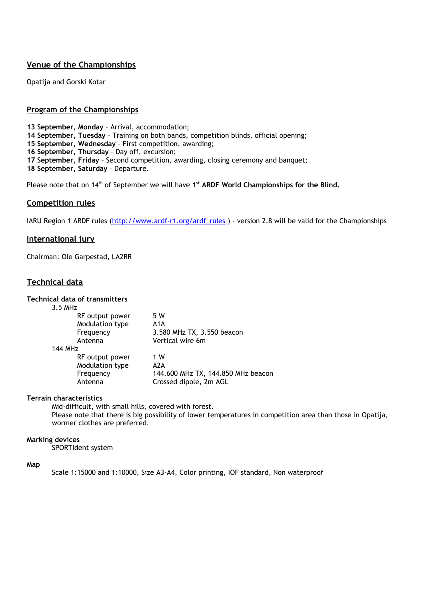### **Venue of the Championships**

Opatija and Gorski Kotar

#### **Program of the Championships**

**13 September, Monday** – Arrival, accommodation;

**14 September, Tuesday** – Training on both bands, competition blinds, official opening;

**15 September, Wednesday** – First competition, awarding;

**16 September, Thursday** – Day off, excursion;

**17 September, Friday** – Second competition, awarding, closing ceremony and banquet;

**18 September, Saturday** – Departure.

Please note that on 14<sup>th</sup> of September we will have 1<sup>st</sup> ARDF World Championships for the Blind.

#### **Competition rules**

IARU Region 1 ARDF rules [\(http://www.ardf-r1.org/ardf\\_rules](http://www.ardf-r1.org/ardf_rules) ) - version 2.8 will be valid for the Championships

#### **International jury**

Chairman: Ole Garpestad, LA2RR

#### **Technical data**

#### **Technical data of transmitters**

| 3.5 MHz         |                                    |
|-----------------|------------------------------------|
| RF output power | 5 W                                |
| Modulation type | A1A                                |
| Frequency       | 3.580 MHz TX, 3.550 beacon         |
| Antenna         | Vertical wire 6m                   |
| <b>144 MHz</b>  |                                    |
| RF output power | 1 W                                |
| Modulation type | A2A                                |
| Frequency       | 144.600 MHz TX, 144.850 MHz beacon |
| Antenna         | Crossed dipole, 2m AGL             |

#### **Terrain characteristics**

Mid-difficult, with small hills, covered with forest. Please note that there is big possibility of lower temperatures in competition area than those in Opatija, wormer clothes are preferred.

#### **Marking devices**

SPORTIdent system

#### **Map**

Scale 1:15000 and 1:10000, Size A3-A4, Color printing, IOF standard, Non waterproof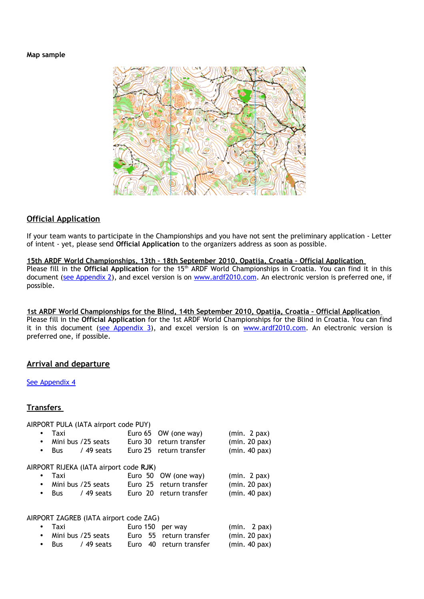#### **Map sample**



#### **Official Application**

If your team wants to participate in the Championships and you have not sent the preliminary application - Letter of intent - yet, please send **Official Application** to the organizers address as soon as possible.

 **15th ARDF World Championships, 13th – 18th September 2010, Opatija, Croatia – Official Application** Please fill in the **Official Application** for the 15<sup>th</sup> ARDF World Championships in Croatia. You can find it in this document [\(see Appendix 2\)](#page-7-0), and excel version is on [www.ardf2010.com.](http://www.ardf2010.com/) An electronic version is preferred one, if possible.

 **1st ARDF World Championships for the Blind, 14th September 2010, Opatija, Croatia – Official Application** Please fill in the **Official Application** for the 1st ARDF World Championships for the Blind in Croatia. You can find it in this document [\(see Appendix 3\)](#page-9-0), and excel version is on [www.ardf2010.com.](http://www.ardf2010.com/) An electronic version is preferred one, if possible.

 $(min. 2 \text{ max})$ 

#### **Arrival and departure**

#### [See Appendix 4](#page-10-0)

#### **Transfers**

AIRPORT PULA (IATA airport code PUY)

|           | Taxi |                                        | Euro 65 OW (one way)    | $(min. 2$ pax)     |
|-----------|------|----------------------------------------|-------------------------|--------------------|
| $\bullet$ |      | Mini bus /25 seats                     | Euro 30 return transfer | $(min. 20$ pax $)$ |
|           |      | $\bullet$ Bus / 49 seats               | Euro 25 return transfer | $(min. 40$ pax $)$ |
|           |      | AIRPORT RIJEKA (IATA airport code RJK) |                         |                    |
| $\bullet$ | Taxi |                                        | Euro 50 OW (one way)    | $(min. 2$ pax)     |
| $\bullet$ |      | Mini bus /25 seats                     | Euro 25 return transfer | $(min. 20$ pax $)$ |
|           |      | $\bullet$ Bus / 49 seats               | Euro 20 return transfer | $(min. 40$ pax $)$ |
|           |      |                                        |                         |                    |
|           |      |                                        |                         |                    |

| AIRPORT ZAGREB (IATA airport code ZAG) |  |                  |
|----------------------------------------|--|------------------|
| Taxi                                   |  | Euro 150 per way |

|               |                    |  | .                       | $\sim$ $\sim$ $\sim$ $\sim$ $\sim$ $\sim$ |
|---------------|--------------------|--|-------------------------|-------------------------------------------|
|               | Mini bus /25 seats |  | Euro 55 return transfer | $(min. 20$ $pax)$                         |
| $\bullet$ Bus | / 49 seats         |  | Euro 40 return transfer | $(min. 40$ pax)                           |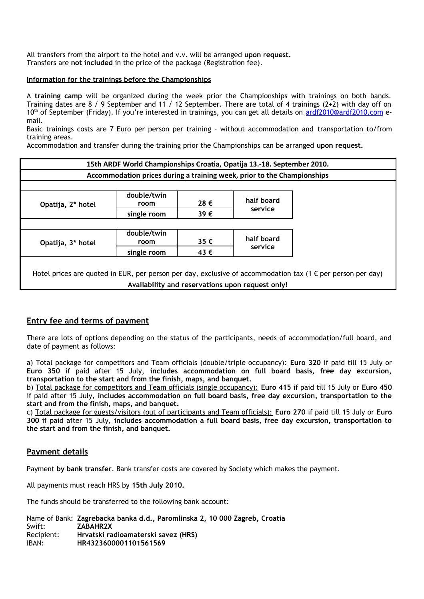All transfers from the airport to the hotel and v.v. will be arranged **upon request.**  Transfers are **not included** in the price of the package (Registration fee).

#### **Information for the trainings before the Championships**

A **training camp** will be organized during the week prior the Championships with trainings on both bands. Training dates are 8 / 9 September and 11 / 12 September. There are total of 4 trainings (2+2) with day off on 10<sup>th</sup> of September (Friday). If you're interested in trainings, you can get all details on [ardf2010@ardf2010.com](mailto:ardf2010@ardf2010.com) email.

Basic trainings costs are 7 Euro per person per training – without accommodation and transportation to/from training areas.

Accommodation and transfer during the training prior the Championships can be arranged **upon request.**

|                   | 15th ARDF World Championships Croatia, Opatija 13.-18. September 2010.  |          |                                                  |                                                                                                                      |
|-------------------|-------------------------------------------------------------------------|----------|--------------------------------------------------|----------------------------------------------------------------------------------------------------------------------|
|                   | Accommodation prices during a training week, prior to the Championships |          |                                                  |                                                                                                                      |
|                   |                                                                         |          |                                                  |                                                                                                                      |
| Opatija, 2* hotel | double/twin<br>room                                                     | 28€      | half board                                       |                                                                                                                      |
|                   | single room                                                             | 39€      | service                                          |                                                                                                                      |
|                   |                                                                         |          |                                                  |                                                                                                                      |
| Opatija, 3* hotel | double/twin<br>room                                                     | $35 \in$ | half board                                       |                                                                                                                      |
|                   | single room                                                             | 43€      | service                                          |                                                                                                                      |
|                   |                                                                         |          |                                                  | Hotel prices are quoted in EUR, per person per day, exclusive of accommodation tax (1 $\epsilon$ per person per day) |
|                   |                                                                         |          | Availability and reservations upon request only! |                                                                                                                      |

#### **Entry fee and terms of payment**

There are lots of options depending on the status of the participants, needs of accommodation/full board, and date of payment as follows:

a) Total package for competitors and Team officials (double/triple occupancy): **Euro 320** if paid till 15 July or **Euro 350** if paid after 15 July, **includes accommodation on full board basis, free day excursion, transportation to the start and from the finish, maps, and banquet.**

b) Total package for competitors and Team officials (single occupancy): **Euro 415** if paid till 15 July or **Euro 450** if paid after 15 July, **includes accommodation on full board basis, free day excursion, transportation to the start and from the finish, maps, and banquet.**

c) Total package for guests/visitors (out of participants and Team officials): **Euro 270** if paid till 15 July or **Euro 300** if paid after 15 July, **includes accommodation a full board basis, free day excursion, transportation to the start and from the finish, and banquet.**

#### **Payment details**

Payment **by bank transfer**. Bank transfer costs are covered by Society which makes the payment.

All payments must reach HRS by **15th July 2010.**

The funds should be transferred to the following bank account:

Name of Bank: **Zagrebacka banka d.d., Paromlinska 2, 10 000 Zagreb, Croatia** Swift: **ZABAHR2X** Recipient: **Hrvatski radioamaterski savez (HRS)** IBAN: **HR4323600001101561569**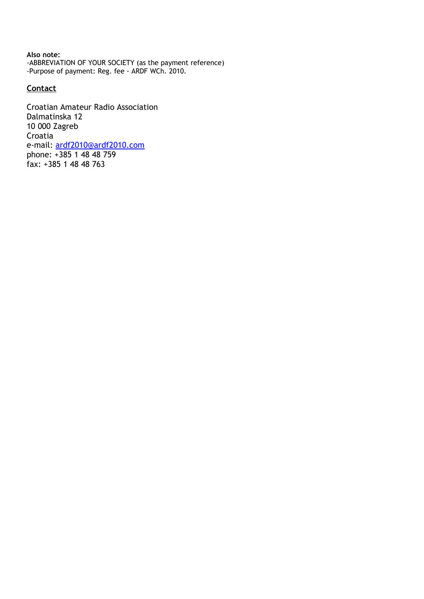**Also note:** -ABBREVIATION OF YOUR SOCIETY (as the payment reference) -Purpose of payment: Reg. fee - ARDF WCh. 2010.

#### **Contact**

Croatian Amateur Radio Association Dalmatinska 12 10 000 Zagreb Croatia e-mail: [ardf2010@ardf2010.com](mailto:ardf2010@ardf2010.com) phone: +385 1 48 48 759 fax: +385 1 48 48 763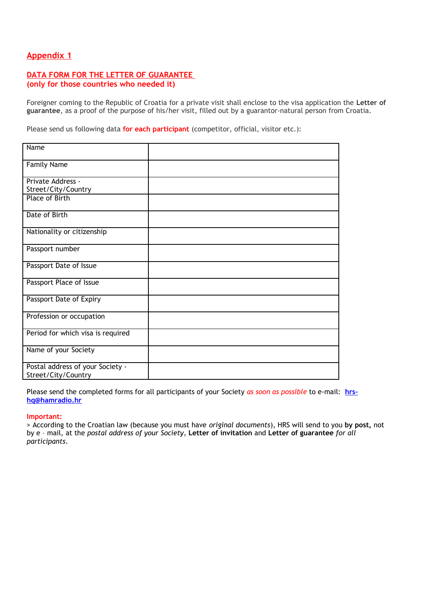#### <span id="page-6-0"></span>**DATA FORM FOR THE LETTER OF GUARANTEE (only for those countries who needed it)**

Foreigner coming to the Republic of Croatia for a private visit shall enclose to the visa application the **Letter of guarantee**, as a proof of the purpose of his/her visit, filled out by a guarantor-natural person from Croatia.

Please send us following data **for each participant** (competitor, official, visitor etc.):

| Name                                                    |  |
|---------------------------------------------------------|--|
| <b>Family Name</b>                                      |  |
| Private Address -<br>Street/City/Country                |  |
| <b>Place of Birth</b>                                   |  |
| Date of Birth                                           |  |
| Nationality or citizenship                              |  |
| Passport number                                         |  |
| Passport Date of Issue                                  |  |
| Passport Place of Issue                                 |  |
| Passport Date of Expiry                                 |  |
| Profession or occupation                                |  |
| Period for which visa is required                       |  |
| Name of your Society                                    |  |
| Postal address of your Society -<br>Street/City/Country |  |

Please send the completed forms for all participants of your Society *as soon as possible* to e-mail: **[hrs–](mailto:hrs%E2%80%93hq@hamradio.hr) [hq@hamradio.hr](mailto:hrs%E2%80%93hq@hamradio.hr)**

#### **Important:**

> According to the Croatian law (because you must have *original documents*), HRS will send to you **by post,** not by e – mail, at the *postal address of your Society*, **Letter of invitation** and **Letter of guarantee** *for all participants*.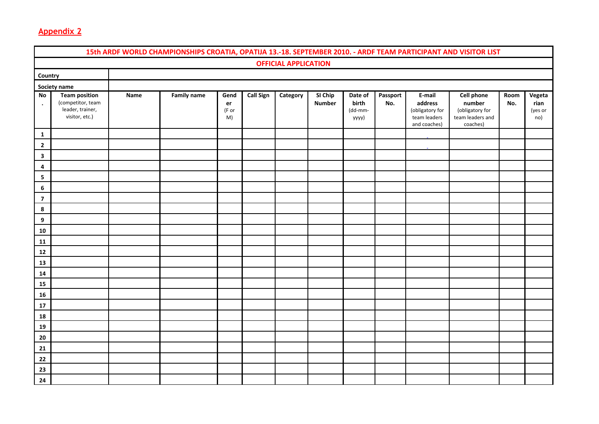<span id="page-7-0"></span>

|                              |                                                                                 |      | 15th ARDF WORLD CHAMPIONSHIPS CROATIA, OPATIJA 13.-18. SEPTEMBER 2010. - ARDF TEAM PARTICIPANT AND VISITOR LIST |                           |                  |                             |                          |                                      |                 |                                                                      |                                                                                |             |                                  |
|------------------------------|---------------------------------------------------------------------------------|------|-----------------------------------------------------------------------------------------------------------------|---------------------------|------------------|-----------------------------|--------------------------|--------------------------------------|-----------------|----------------------------------------------------------------------|--------------------------------------------------------------------------------|-------------|----------------------------------|
|                              |                                                                                 |      |                                                                                                                 |                           |                  | <b>OFFICIAL APPLICATION</b> |                          |                                      |                 |                                                                      |                                                                                |             |                                  |
| Country                      |                                                                                 |      |                                                                                                                 |                           |                  |                             |                          |                                      |                 |                                                                      |                                                                                |             |                                  |
|                              | Society name                                                                    |      |                                                                                                                 |                           |                  |                             |                          |                                      |                 |                                                                      |                                                                                |             |                                  |
| No<br>$\bullet$              | <b>Team position</b><br>(competitor, team<br>leader, trainer,<br>visitor, etc.) | Name | <b>Family name</b>                                                                                              | Gend<br>er<br>(F or<br>M) | <b>Call Sign</b> | Category                    | SI Chip<br><b>Number</b> | Date of<br>birth<br>(dd-mm-<br>уууу) | Passport<br>No. | E-mail<br>address<br>(obligatory for<br>team leaders<br>and coaches) | <b>Cell phone</b><br>number<br>(obligatory for<br>team leaders and<br>coaches) | Room<br>No. | Vegeta<br>rian<br>(yes or<br>no) |
| $\mathbf{1}$                 |                                                                                 |      |                                                                                                                 |                           |                  |                             |                          |                                      |                 |                                                                      |                                                                                |             |                                  |
| $\mathbf{2}$<br>$\mathbf{3}$ |                                                                                 |      |                                                                                                                 |                           |                  |                             |                          |                                      |                 |                                                                      |                                                                                |             |                                  |
| 4                            |                                                                                 |      |                                                                                                                 |                           |                  |                             |                          |                                      |                 |                                                                      |                                                                                |             |                                  |
| 5                            |                                                                                 |      |                                                                                                                 |                           |                  |                             |                          |                                      |                 |                                                                      |                                                                                |             |                                  |
| $\boldsymbol{6}$             |                                                                                 |      |                                                                                                                 |                           |                  |                             |                          |                                      |                 |                                                                      |                                                                                |             |                                  |
| $\overline{\mathbf{z}}$<br>8 |                                                                                 |      |                                                                                                                 |                           |                  |                             |                          |                                      |                 |                                                                      |                                                                                |             |                                  |
| $\boldsymbol{9}$             |                                                                                 |      |                                                                                                                 |                           |                  |                             |                          |                                      |                 |                                                                      |                                                                                |             |                                  |
| 10                           |                                                                                 |      |                                                                                                                 |                           |                  |                             |                          |                                      |                 |                                                                      |                                                                                |             |                                  |
| 11                           |                                                                                 |      |                                                                                                                 |                           |                  |                             |                          |                                      |                 |                                                                      |                                                                                |             |                                  |
| 12                           |                                                                                 |      |                                                                                                                 |                           |                  |                             |                          |                                      |                 |                                                                      |                                                                                |             |                                  |
| 13<br>14                     |                                                                                 |      |                                                                                                                 |                           |                  |                             |                          |                                      |                 |                                                                      |                                                                                |             |                                  |
| 15                           |                                                                                 |      |                                                                                                                 |                           |                  |                             |                          |                                      |                 |                                                                      |                                                                                |             |                                  |
| 16                           |                                                                                 |      |                                                                                                                 |                           |                  |                             |                          |                                      |                 |                                                                      |                                                                                |             |                                  |
| 17                           |                                                                                 |      |                                                                                                                 |                           |                  |                             |                          |                                      |                 |                                                                      |                                                                                |             |                                  |
| 18                           |                                                                                 |      |                                                                                                                 |                           |                  |                             |                          |                                      |                 |                                                                      |                                                                                |             |                                  |
| 19<br>20                     |                                                                                 |      |                                                                                                                 |                           |                  |                             |                          |                                      |                 |                                                                      |                                                                                |             |                                  |
| 21                           |                                                                                 |      |                                                                                                                 |                           |                  |                             |                          |                                      |                 |                                                                      |                                                                                |             |                                  |
| 22                           |                                                                                 |      |                                                                                                                 |                           |                  |                             |                          |                                      |                 |                                                                      |                                                                                |             |                                  |
| 23                           |                                                                                 |      |                                                                                                                 |                           |                  |                             |                          |                                      |                 |                                                                      |                                                                                |             |                                  |
| 24                           |                                                                                 |      |                                                                                                                 |                           |                  |                             |                          |                                      |                 |                                                                      |                                                                                |             |                                  |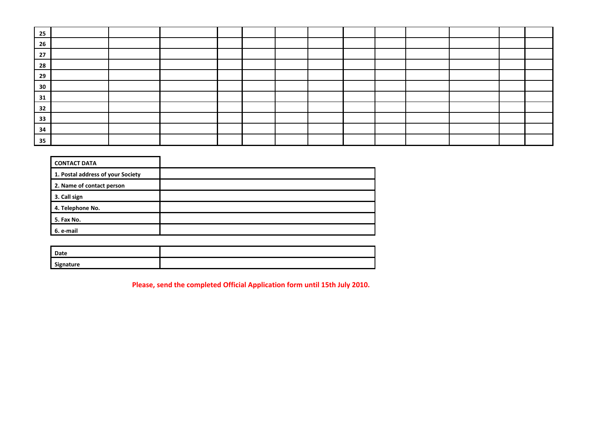| 25 |  |  |  |  |  |  |  |
|----|--|--|--|--|--|--|--|
| 26 |  |  |  |  |  |  |  |
| 27 |  |  |  |  |  |  |  |
| 28 |  |  |  |  |  |  |  |
| 29 |  |  |  |  |  |  |  |
| 30 |  |  |  |  |  |  |  |
| 31 |  |  |  |  |  |  |  |
| 32 |  |  |  |  |  |  |  |
| 33 |  |  |  |  |  |  |  |
| 34 |  |  |  |  |  |  |  |
| 35 |  |  |  |  |  |  |  |

| <b>CONTACT DATA</b>               |  |
|-----------------------------------|--|
| 1. Postal address of your Society |  |
| 2. Name of contact person         |  |
| 3. Call sign                      |  |
| 4. Telephone No.                  |  |
| 5. Fax No.                        |  |
| 6. e-mail                         |  |

| Date      |  |  |  |
|-----------|--|--|--|
| Signature |  |  |  |

**Please, send the completed Official Application form until 15th July 2010.**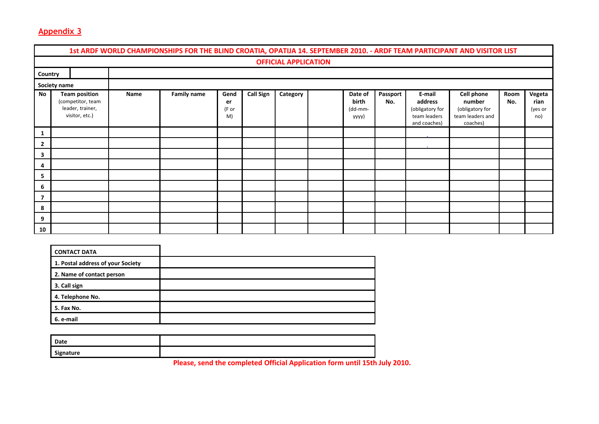|                          | 1st ARDF WORLD CHAMPIONSHIPS FOR THE BLIND CROATIA, OPATIJA 14. SEPTEMBER 2010. - ARDF TEAM PARTICIPANT AND VISITOR LIST |                                                                                 |      |                    |                           |                  |          |  |                                      |                   |                                                                      |                                                                                |             |                                  |
|--------------------------|--------------------------------------------------------------------------------------------------------------------------|---------------------------------------------------------------------------------|------|--------------------|---------------------------|------------------|----------|--|--------------------------------------|-------------------|----------------------------------------------------------------------|--------------------------------------------------------------------------------|-------------|----------------------------------|
|                          | <b>OFFICIAL APPLICATION</b>                                                                                              |                                                                                 |      |                    |                           |                  |          |  |                                      |                   |                                                                      |                                                                                |             |                                  |
| Country                  |                                                                                                                          |                                                                                 |      |                    |                           |                  |          |  |                                      |                   |                                                                      |                                                                                |             |                                  |
|                          | Society name                                                                                                             |                                                                                 |      |                    |                           |                  |          |  |                                      |                   |                                                                      |                                                                                |             |                                  |
| <b>No</b>                |                                                                                                                          | <b>Team position</b><br>(competitor, team<br>leader, trainer,<br>visitor, etc.) | Name | <b>Family name</b> | Gend<br>er<br>(F or<br>M) | <b>Call Sign</b> | Category |  | Date of<br>birth<br>(dd-mm-<br>yyyy) | Passport  <br>No. | E-mail<br>address<br>(obligatory for<br>team leaders<br>and coaches) | <b>Cell phone</b><br>number<br>(obligatory for<br>team leaders and<br>coaches) | Room<br>No. | Vegeta<br>rian<br>(yes or<br>no) |
| 1                        |                                                                                                                          |                                                                                 |      |                    |                           |                  |          |  |                                      |                   |                                                                      |                                                                                |             |                                  |
| $\overline{2}$           |                                                                                                                          |                                                                                 |      |                    |                           |                  |          |  |                                      |                   |                                                                      |                                                                                |             |                                  |
| 3                        |                                                                                                                          |                                                                                 |      |                    |                           |                  |          |  |                                      |                   |                                                                      |                                                                                |             |                                  |
| 4                        |                                                                                                                          |                                                                                 |      |                    |                           |                  |          |  |                                      |                   |                                                                      |                                                                                |             |                                  |
| 5                        |                                                                                                                          |                                                                                 |      |                    |                           |                  |          |  |                                      |                   |                                                                      |                                                                                |             |                                  |
| 6                        |                                                                                                                          |                                                                                 |      |                    |                           |                  |          |  |                                      |                   |                                                                      |                                                                                |             |                                  |
| $\overline{\phantom{a}}$ |                                                                                                                          |                                                                                 |      |                    |                           |                  |          |  |                                      |                   |                                                                      |                                                                                |             |                                  |
| 8                        |                                                                                                                          |                                                                                 |      |                    |                           |                  |          |  |                                      |                   |                                                                      |                                                                                |             |                                  |
| 9                        |                                                                                                                          |                                                                                 |      |                    |                           |                  |          |  |                                      |                   |                                                                      |                                                                                |             |                                  |
| 10                       |                                                                                                                          |                                                                                 |      |                    |                           |                  |          |  |                                      |                   |                                                                      |                                                                                |             |                                  |

<span id="page-9-0"></span>

| <b>CONTACT DATA</b>               |  |
|-----------------------------------|--|
| 1. Postal address of your Society |  |
| 2. Name of contact person         |  |
| 3. Call sign                      |  |
| 4. Telephone No.                  |  |
| 5. Fax No.                        |  |
| 6. e-mail                         |  |

| Date      |  |  |  |
|-----------|--|--|--|
| Signature |  |  |  |

**Please, send the completed Official Application form until 15th July 2010.**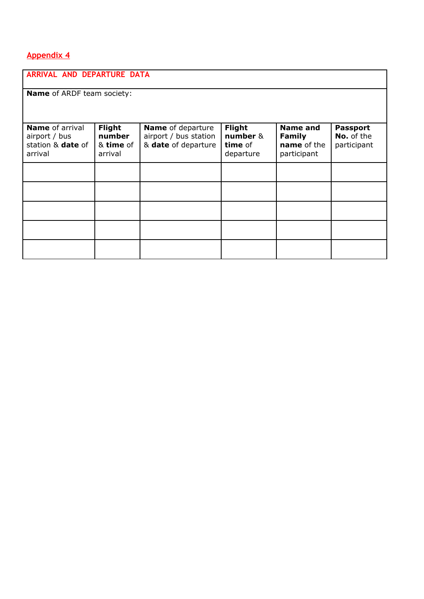<span id="page-10-0"></span>

| ARRIVAL AND DEPARTURE DATA                                              |                                          |                                                                          |                                                   |                                                                |                                              |  |  |  |  |
|-------------------------------------------------------------------------|------------------------------------------|--------------------------------------------------------------------------|---------------------------------------------------|----------------------------------------------------------------|----------------------------------------------|--|--|--|--|
| <b>Name</b> of ARDF team society:                                       |                                          |                                                                          |                                                   |                                                                |                                              |  |  |  |  |
|                                                                         |                                          |                                                                          |                                                   |                                                                |                                              |  |  |  |  |
| <b>Name</b> of arrival<br>airport / bus<br>station & date of<br>arrival | Flight<br>number<br>& time of<br>arrival | <b>Name</b> of departure<br>airport / bus station<br>& date of departure | <b>Flight</b><br>number &<br>time of<br>departure | <b>Name and</b><br><b>Family</b><br>name of the<br>participant | <b>Passport</b><br>No. of the<br>participant |  |  |  |  |
|                                                                         |                                          |                                                                          |                                                   |                                                                |                                              |  |  |  |  |
|                                                                         |                                          |                                                                          |                                                   |                                                                |                                              |  |  |  |  |
|                                                                         |                                          |                                                                          |                                                   |                                                                |                                              |  |  |  |  |
|                                                                         |                                          |                                                                          |                                                   |                                                                |                                              |  |  |  |  |
|                                                                         |                                          |                                                                          |                                                   |                                                                |                                              |  |  |  |  |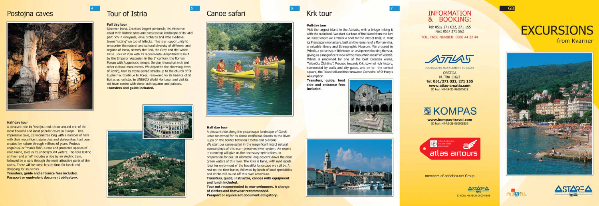## Postojna caves



# **Tour of Istria**

#### **Full day tour**

Discover Istria, Croatia's largest peninsula, its attractive coast with historic sites and picturesque landscape of its land part rich in vineyards, olive orchards and little medieval towns "sitting" on top of hillocks. This is an opportunity to encounter the natural and cultural diversity of different land regions of Istria, namely the Red, the Grey and the White Istria. Tour of Pula with its monumental Amphitheatre built by the Emperor Vespasian in the 1<sup>x</sup> century, the Roman Forum with Augustus's temple, Sergius triumphal arch and other cultural monuments. We depart to the charming town of Rovini, tour its stone-payed streets up to the church of St Euphemia. Continue to Poreč, renowned for its basilica of St Eufrasius, enlisted in UNESCO World Heritage, and visit its old town centre with stone-built squares and palaces. Transfers and guide included.



# Canoe safari



Assumption.

#### **Half day tour**

A pleasant ride to Postojna and a tour around one of the most beauiful and most popular caves in Europe. This impressive cave, 22 kilometres long with a number of halls with their magnificent stalactites and stalagmites, had been created by nature through millions of years. Proteus anguinus, or "man's fish", a rare and protected species of cave fauna, lives in its underground waters. The tour lasting an hour and a half includes a ride by an electric train, followed by a walk through the most attractive parts of the caves. There will be some leisure time for lunch and shopping for souvenirs.

Transfers, guide and entrance fees included. Passport or equivalent document obligatory.



#### **Half day tour**

A pleasant ride along the picturesque landscape of Gorski kotar renowned for its dense coniferous forests to the River Kupa on the border between Croatia and Slovenia. We start our canoe safari in the magnificent intact natural surroundings of this eco - preserved river system. An expert in canoeing will give us the necessary instructions, in preparation for our 10 kilometre long descent down the clear green waters of this river. The Krka is tame, with mild rapids ideal for enjoyment of the beautiful landscape we sail by. A rest on the river banks, followed by lunch of local specialities and drinks will round off this river adventure.

Transfers, guide, instructor, canoes with equipment and lunch included.

Tour not recommended to non-swimmers. A change of clothes and footwear recommended. Passport or equivalent document obligatory.

# **Krk tour**

#### **Full day tour**

Visit the largest island in the Adriatic, with a bridge linking it with the mainland. We start our tour of the island from the bay of Punat where we embark a boat for the islet of Košljun. Visit its Franciscan monastery, built on the remains of a Roman villa, a valuable library and Ethnographic Museum. We proceed to Vrbnik, a picturesque little town on a slope overlooking the sea, giving us a magnificent view of the maountain masiff of Velebit. Vrbnik is renowned for one of the best Croatian wines, "Vrbnička Žlahtina". Proceed towards Krk, town of rich history, surrounded by walls and city gates, and on to the central square, the Town Hall and the renowned Cathedral of St Mary's

Transfers, guide, boat ride and entrance fees included.





## **INFORMATION** & BOOKING:

Tel: 051/271 032, 271 155 Fax: 051/271 562

**TOLL FREE NUMBER: 0800 44 22 44** 



DESTINATION MANAGEMENT COMPANY

OPATIJA M. Tita 116/2 Tel: 051/271 032, 271 155 www.atlas-croatia.com ID kod: HR-AB-20-060000638

# **SKOMPAS**

www.kompas-travel.com<br>ID kod: HR-AB-21-060008589



members of adriatica.net Group



**DEASTI** 

# **EXCURSIONS**

from Kvarner